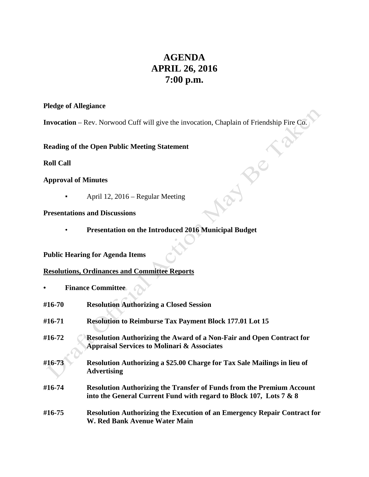# **AGENDA APRIL 26, 2016 7:00 p.m.**

#### **Pledge of Allegiance**

**Invocation** – Rev. Norwood Cuff will give the invocation, Chaplain of Friendship Fire Co.

**Reading of the Open Public Meeting Statement**

#### **Roll Call**

#### **Approval of Minutes**

**•** April 12, 2016 – Regular Meeting

### **Presentations and Discussions**

• **Presentation on the Introduced 2016 Municipal Budget**

## **Public Hearing for Agenda Items**

#### **Resolutions, Ordinances and Committee Reports**

**• Finance Committee**

| #16-70 | <b>Resolution Authorizing a Closed Session</b>                                                                                                     |
|--------|----------------------------------------------------------------------------------------------------------------------------------------------------|
| #16-71 | <b>Resolution to Reimburse Tax Payment Block 177.01 Lot 15</b>                                                                                     |
| #16-72 | <b>Resolution Authorizing the Award of a Non-Fair and Open Contract for</b><br><b>Appraisal Services to Molinari &amp; Associates</b>              |
| #16-73 | Resolution Authorizing a \$25.00 Charge for Tax Sale Mailings in lieu of<br><b>Advertising</b>                                                     |
| #16-74 | <b>Resolution Authorizing the Transfer of Funds from the Premium Account</b><br>into the General Current Fund with regard to Block 107, Lots 7 & 8 |
| #16-75 | <b>Resolution Authorizing the Execution of an Emergency Repair Contract for</b><br>W. Red Bank Avenue Water Main                                   |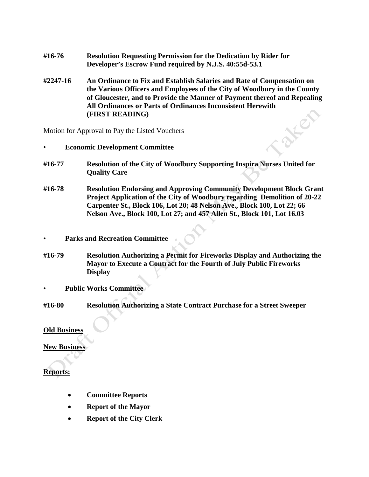- **#16-76 Resolution Requesting Permission for the Dedication by Rider for Developer's Escrow Fund required by N.J.S. 40:55d-53.1**
- **#2247-16 An Ordinance to Fix and Establish Salaries and Rate of Compensation on the Various Officers and Employees of the City of Woodbury in the County of Gloucester, and to Provide the Manner of Payment thereof and Repealing All Ordinances or Parts of Ordinances Inconsistent Herewith (FIRST READING)**

Motion for Approval to Pay the Listed Vouchers

- **Economic Development Committee**
- **#16-77 Resolution of the City of Woodbury Supporting Inspira Nurses United for Quality Care**
- **#16-78 Resolution Endorsing and Approving Community Development Block Grant Project Application of the City of Woodbury regarding Demolition of 20-22 Carpenter St., Block 106, Lot 20; 48 Nelson Ave., Block 100, Lot 22; 66 Nelson Ave., Block 100, Lot 27; and 457 Allen St., Block 101, Lot 16.03**
- **Parks and Recreation Committee**
- **#16-79 Resolution Authorizing a Permit for Fireworks Display and Authorizing the Mayor to Execute a Contract for the Fourth of July Public Fireworks Display**
- **Public Works Committee**
- **#16-80 Resolution Authorizing a State Contract Purchase for a Street Sweeper**

#### **Old Business**

**New Business**

**Reports:**

- **Committee Reports**
- **Report of the Mayor**
- **Report of the City Clerk**